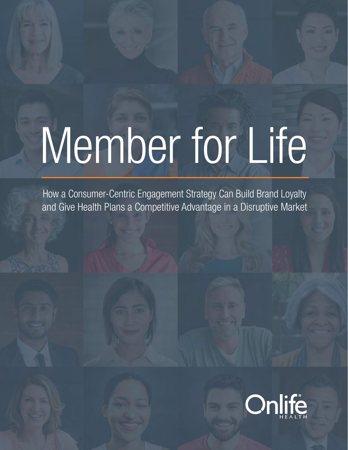# Member for Life

How a Consumer-Centric Engagement Strategy Can Build Brand Loyalty and Give Health Plans a Competitive Advantage in a Disruptive Market

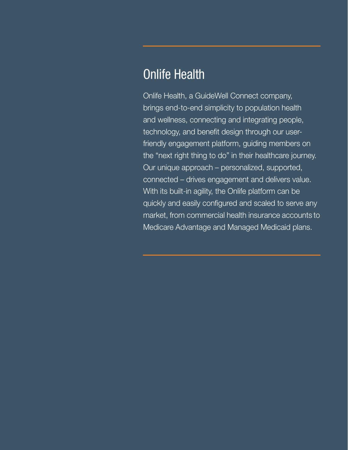## Onlife Health

Onlife Health, a GuideWell Connect company, brings end-to-end simplicity to population health and wellness, connecting and integrating people, technology, and benefit design through our userfriendly engagement platform, guiding members on the "next right thing to do" in their healthcare journey. Our unique approach – personalized, supported, connected – drives engagement and delivers value. With its built-in agility, the Onlife platform can be quickly and easily configured and scaled to serve any market, from commercial health insurance accounts to Medicare Advantage and Managed Medicaid plans.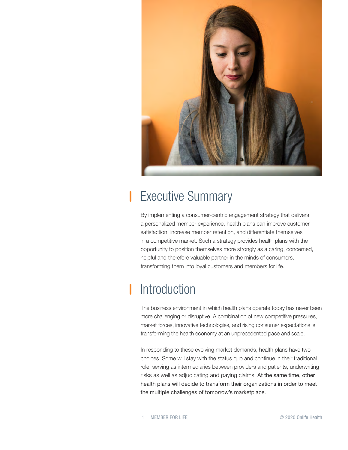

## Executive Summary

By implementing a consumer-centric engagement strategy that delivers a personalized member experience, health plans can improve customer satisfaction, increase member retention, and differentiate themselves in a competitive market. Such a strategy provides health plans with the opportunity to position themselves more strongly as a caring, concerned, helpful and therefore valuable partner in the minds of consumers, transforming them into loyal customers and members for life.

# Introduction

The business environment in which health plans operate today has never been more challenging or disruptive. A combination of new competitive pressures, market forces, innovative technologies, and rising consumer expectations is transforming the health economy at an unprecedented pace and scale.

In responding to these evolving market demands, health plans have two choices. Some will stay with the status quo and continue in their traditional role, serving as intermediaries between providers and patients, underwriting risks as well as adjudicating and paying claims. At the same time, other health plans will decide to transform their organizations in order to meet the multiple challenges of tomorrow's marketplace.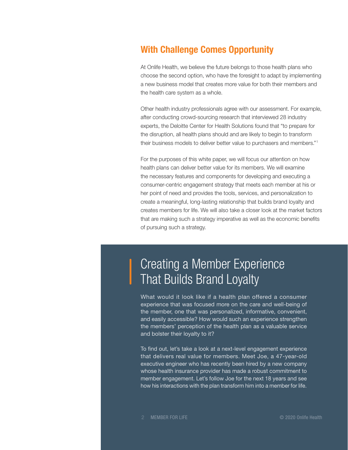#### With Challenge Comes Opportunity

At Onlife Health, we believe the future belongs to those health plans who choose the second option, who have the foresight to adapt by implementing a new business model that creates more value for both their members and the health care system as a whole.

Other health industry professionals agree with our assessment. For example, after conducting crowd-sourcing research that interviewed 28 industry experts, the Deloitte Center for Health Solutions found that "to prepare for the disruption, all health plans should and are likely to begin to transform their business models to deliver better value to purchasers and members."1

For the purposes of this white paper, we will focus our attention on how health plans can deliver better value for its members. We will examine the necessary features and components for developing and executing a consumer-centric engagement strategy that meets each member at his or her point of need and provides the tools, services, and personalization to create a meaningful, long-lasting relationship that builds brand loyalty and creates members for life. We will also take a closer look at the market factors that are making such a strategy imperative as well as the economic benefits of pursuing such a strategy.

## Creating a Member Experience That Builds Brand Loyalty

What would it look like if a health plan offered a consumer experience that was focused more on the care and well-being of the member, one that was personalized, informative, convenient, and easily accessible? How would such an experience strengthen the members' perception of the health plan as a valuable service and bolster their loyalty to it?

To find out, let's take a look at a next-level engagement experience that delivers real value for members. Meet Joe, a 47-year-old executive engineer who has recently been hired by a new company whose health insurance provider has made a robust commitment to member engagement. Let's follow Joe for the next 18 years and see how his interactions with the plan transform him into a member for life.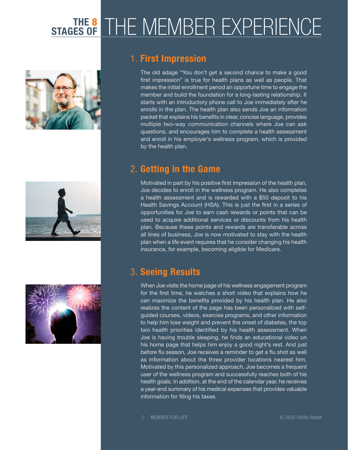# STAGES OF THE MEMBER EXPERIENCE







#### 1. First Impression

The old adage "You don't get a second chance to make a good first impression" is true for health plans as well as people. That makes the initial enrollment period an opportune time to engage the member and build the foundation for a long-lasting relationship. It starts with an introductory phone call to Joe immediately after he enrolls in the plan. The health plan also sends Joe an information packet that explains his benefits in clear, concise language, provides multiple two-way communication channels where Joe can ask questions, and encourages him to complete a health assessment and enroll in his employer's wellness program, which is provided by the health plan.

#### 2. Getting in the Game

Motivated in part by his positive first impression of the health plan, Joe decides to enroll in the wellness program. He also completes a health assessment and is rewarded with a \$50 deposit to his Health Savings Account (HSA). This is just the first in a series of opportunities for Joe to earn cash rewards or points that can be used to acquire additional services or discounts from his health plan. Because these points and rewards are transferable across all lines of business, Joe is now motivated to stay with the health plan when a life event requires that he consider changing his health insurance, for example, becoming eligible for Medicare.

#### 3. Seeing Results

When Joe visits the home page of his wellness engagement program for the first time, he watches a short video that explains how he can maximize the benefits provided by his health plan. He also realizes the content of the page has been personalized with selfguided courses, videos, exercise programs, and other information to help him lose weight and prevent the onset of diabetes, the top two health priorities identified by his health assessment. When Joe is having trouble sleeping, he finds an educational video on his home page that helps him enjoy a good night's rest. And just before flu season, Joe receives a reminder to get a flu shot as well as information about the three provider locations nearest him. Motivated by this personalized approach, Joe becomes a frequent user of the wellness program and successfully reaches both of his health goals. In addition, at the end of the calendar year, he receives a year-end summary of his medical expenses that provides valuable information for filing his taxes.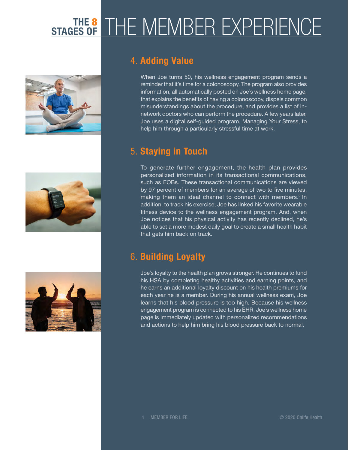# STAGES OF THE MEMBER EXPERIENCE







#### 4. Adding Value

When Joe turns 50, his wellness engagement program sends a reminder that it's time for a colonoscopy. The program also provides information, all automatically posted on Joe's wellness home page, that explains the benefits of having a colonoscopy, dispels common misunderstandings about the procedure, and provides a list of innetwork doctors who can perform the procedure. A few years later, Joe uses a digital self-guided program, Managing Your Stress, to help him through a particularly stressful time at work.

#### 5. Staying in Touch

To generate further engagement, the health plan provides personalized information in its transactional communications, such as EOBs. These transactional communications are viewed by 97 percent of members for an average of two to five minutes, making them an ideal channel to connect with members.<sup>2</sup> In addition, to track his exercise, Joe has linked his favorite wearable fitness device to the wellness engagement program. And, when Joe notices that his physical activity has recently declined, he's able to set a more modest daily goal to create a small health habit that gets him back on track.

#### 6. Building Loyalty

Joe's loyalty to the health plan grows stronger. He continues to fund his HSA by completing healthy activities and earning points, and he earns an additional loyalty discount on his health premiums for each year he is a member. During his annual wellness exam, Joe learns that his blood pressure is too high. Because his wellness engagement program is connected to his EHR, Joe's wellness home page is immediately updated with personalized recommendations and actions to help him bring his blood pressure back to normal.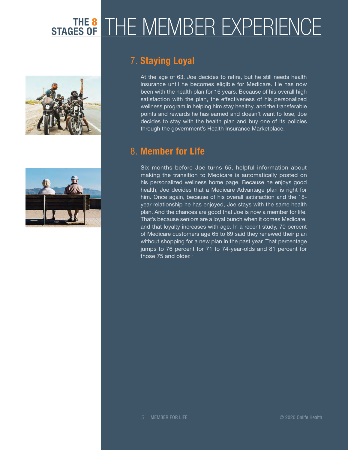# STAGES OF THE MEMBER EXPERIENCE





#### 7. Staying Loyal

At the age of 63, Joe decides to retire, but he still needs health insurance until he becomes eligible for Medicare. He has now been with the health plan for 16 years. Because of his overall high satisfaction with the plan, the effectiveness of his personalized wellness program in helping him stay healthy, and the transferable points and rewards he has earned and doesn't want to lose, Joe decides to stay with the health plan and buy one of its policies through the government's Health Insurance Marketplace.

#### 8. Member for Life

Six months before Joe turns 65, helpful information about making the transition to Medicare is automatically posted on his personalized wellness home page. Because he enjoys good health, Joe decides that a Medicare Advantage plan is right for him. Once again, because of his overall satisfaction and the 18 year relationship he has enjoyed, Joe stays with the same health plan. And the chances are good that Joe is now a member for life. That's because seniors are a loyal bunch when it comes Medicare, and that loyalty increases with age. In a recent study, 70 percent of Medicare customers age 65 to 69 said they renewed their plan without shopping for a new plan in the past year. That percentage jumps to 76 percent for 71 to 74-year-olds and 81 percent for those 75 and older.<sup>3</sup>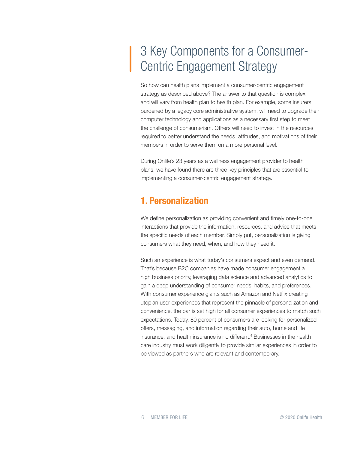# 3 Key Components for a Consumer-Centric Engagement Strategy

So how can health plans implement a consumer-centric engagement strategy as described above? The answer to that question is complex and will vary from health plan to health plan. For example, some insurers, burdened by a legacy core administrative system, will need to upgrade their computer technology and applications as a necessary first step to meet the challenge of consumerism. Others will need to invest in the resources required to better understand the needs, attitudes, and motivations of their members in order to serve them on a more personal level.

During Onlife's 23 years as a wellness engagement provider to health plans, we have found there are three key principles that are essential to implementing a consumer-centric engagement strategy.

#### 1. Personalization

We define personalization as providing convenient and timely one-to-one interactions that provide the information, resources, and advice that meets the specific needs of each member. Simply put, personalization is giving consumers what they need, when, and how they need it.

Such an experience is what today's consumers expect and even demand. That's because B2C companies have made consumer engagement a high business priority, leveraging data science and advanced analytics to gain a deep understanding of consumer needs, habits, and preferences. With consumer experience giants such as Amazon and Netflix creating utopian user experiences that represent the pinnacle of personalization and convenience, the bar is set high for all consumer experiences to match such expectations. Today, 80 percent of consumers are looking for personalized offers, messaging, and information regarding their auto, home and life insurance, and health insurance is no different.<sup>4</sup> Businesses in the health care industry must work diligently to provide similar experiences in order to be viewed as partners who are relevant and contemporary.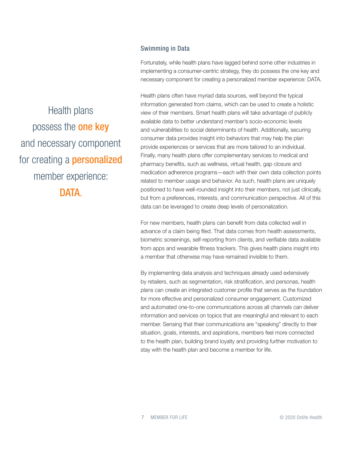#### Swimming in Data

Fortunately, while health plans have lagged behind some other industries in implementing a consumer-centric strategy, they do possess the one key and necessary component for creating a personalized member experience: DATA.

Health plans often have myriad data sources, well beyond the typical information generated from claims, which can be used to create a holistic view of their members. Smart health plans will take advantage of publicly available data to better understand member's socio-economic levels and vulnerabilities to social determinants of health. Additionally, securing consumer data provides insight into behaviors that may help the plan provide experiences or services that are more tailored to an individual. Finally, many health plans offer complementary services to medical and pharmacy benefits, such as wellness, virtual health, gap closure and medication adherence programs—each with their own data collection points related to member usage and behavior. As such, health plans are uniquely positioned to have well-rounded insight into their members, not just clinically, but from a preferences, interests, and communication perspective. All of this data can be leveraged to create deep levels of personalization.

For new members, health plans can benefit from data collected well in advance of a claim being filed. That data comes from health assessments, biometric screenings, self-reporting from clients, and verifiable data available from apps and wearable fitness trackers. This gives health plans insight into a member that otherwise may have remained invisible to them.

By implementing data analysis and techniques already used extensively by retailers, such as segmentation, risk stratification, and personas, health plans can create an integrated customer profile that serves as the foundation for more effective and personalized consumer engagement. Customized and automated one-to-one communications across all channels can deliver information and services on topics that are meaningful and relevant to each member. Sensing that their communications are "speaking" directly to their situation, goals, interests, and aspirations, members feel more connected to the health plan, building brand loyalty and providing further motivation to stay with the health plan and become a member for life.

Health plans possess the **one key** and necessary component for creating a **personalized** member experience: DATA.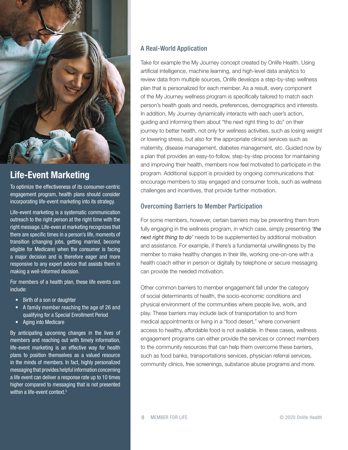

#### Life-Event Marketing

To optimize the effectiveness of its consumer-centric engagement program, health plans should consider incorporating life-event marketing into its strategy.

Life-event marketing is a systematic communication outreach to the right person at the right time with the right message. Life-even at marketing recognizes that there are specific times in a person's life, moments of transition (changing jobs, getting married, become eligible for Medicare) when the consumer is facing a major decision and is therefore eager and more responsive to any expert advice that assists them in making a well-informed decision.

For members of a health plan, these life events can include:

- Birth of a son or daughter
- A family member reaching the age of 26 and qualifying for a Special Enrollment Period
- Aging into Medicare

By anticipating upcoming changes in the lives of members and reaching out with timely information, life-event marketing is an effective way for health plans to position themselves as a valued resource in the minds of members. In fact, highly personalized messaging that provides helpful information concerning a life event can deliver a response rate up to 10 times higher compared to messaging that is not presented within a life-event context.<sup>5</sup>

#### A Real-World Application

Take for example the My Journey concept created by Onlife Health. Using artificial intelligence, machine learning, and high-level data analytics to review data from multiple sources, Onlife develops a step-by-step wellness plan that is personalized for each member. As a result, every component of the My Journey wellness program is specifically tailored to match each person's health goals and needs, preferences, demographics and interests. In addition, My Journey dynamically interacts with each user's action, guiding and informing them about "the next right thing to do" on their journey to better health, not only for wellness activities, such as losing weight or lowering stress, but also for the appropriate clinical services such as maternity, disease management, diabetes management, etc. Guided now by a plan that provides an easy-to-follow, step-by-step process for maintaining and improving their health, members now feel motivated to participate in the program. Additional support is provided by ongoing communications that encourage members to stay engaged and consumer tools, such as wellness challenges and incentives, that provide further motivation.

#### Overcoming Barriers to Member Participation

For some members, however, certain barriers may be preventing them from fully engaging in the wellness program, in which case, simply presenting *'the next right thing to do'* needs to be supplemented by additional motivation and assistance. For example, if there's a fundamental unwillingness by the member to make healthy changes in their life, working one-on-one with a health coach either in person or digitally by telephone or secure messaging can provide the needed motivation.

Other common barriers to member engagement fall under the category of social determinants of health, the socio-economic conditions and physical environment of the communities where people live, work, and play. These barriers may include lack of transportation to and from medical appointments or living in a "food desert," where convenient access to healthy, affordable food is not available. In these cases, wellness engagement programs can either provide the services or connect members to the community resources that can help them overcome these barriers, such as food banks, transportations services, physician referral services, community clinics, free screenings, substance abuse programs and more.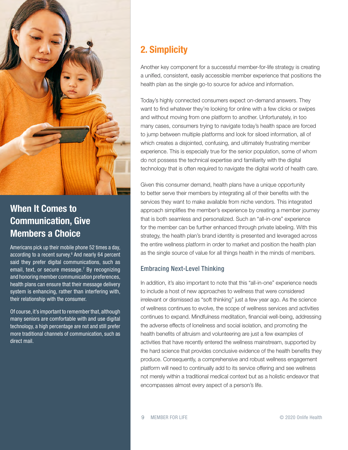

#### When It Comes to Communication, Give Members a Choice

Americans pick up their mobile phone 52 times a day, according to a recent survey.<sup>6</sup> And nearly 64 percent said they prefer digital communications, such as email, text, or secure message.<sup>7</sup> By recognizing and honoring member communication preferences, health plans can ensure that their message delivery system is enhancing, rather than interfering with, their relationship with the consumer.

Of course, it's important to remember that, although many seniors are comfortable with and use digital technology, a high percentage are not and still prefer more traditional channels of communication, such as direct mail.

#### 2. Simplicity

Another key component for a successful member-for-life strategy is creating a unified, consistent, easily accessible member experience that positions the health plan as the single go-to source for advice and information.

Today's highly connected consumers expect on-demand answers. They want to find whatever they're looking for online with a few clicks or swipes and without moving from one platform to another. Unfortunately, in too many cases, consumers trying to navigate today's health space are forced to jump between multiple platforms and look for siloed information, all of which creates a disjointed, confusing, and ultimately frustrating member experience. This is especially true for the senior population, some of whom do not possess the technical expertise and familiarity with the digital technology that is often required to navigate the digital world of health care.

Given this consumer demand, health plans have a unique opportunity to better serve their members by integrating all of their benefits with the services they want to make available from niche vendors. This integrated approach simplifies the member's experience by creating a member journey that is both seamless and personalized. Such an "all-in-one" experience for the member can be further enhanced through private labeling. With this strategy, the health plan's brand identity is presented and leveraged across the entire wellness platform in order to market and position the health plan as the single source of value for all things health in the minds of members.

#### Embracing Next-Level Thinking

In addition, it's also important to note that this "all-in-one" experience needs to include a host of new approaches to wellness that were considered irrelevant or dismissed as "soft thinking" just a few year ago. As the science of wellness continues to evolve, the scope of wellness services and activities continues to expand. Mindfulness meditation, financial well-being, addressing the adverse effects of loneliness and social isolation, and promoting the health benefits of altruism and volunteering are just a few examples of activities that have recently entered the wellness mainstream, supported by the hard science that provides conclusive evidence of the health benefits they produce. Consequently, a comprehensive and robust wellness engagement platform will need to continually add to its service offering and see wellness not merely within a traditional medical context but as a holistic endeavor that encompasses almost every aspect of a person's life.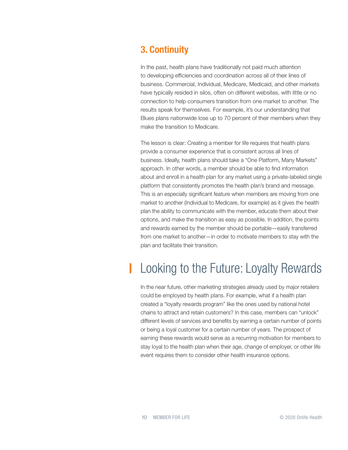#### 3. Continuity

In the past, health plans have traditionally not paid much attention to developing efficiencies and coordination across all of their lines of business. Commercial, Individual, Medicare, Medicaid, and other markets have typically resided in silos, often on different websites, with little or no connection to help consumers transition from one market to another. The results speak for themselves. For example, it's our understanding that Blues plans nationwide lose up to 70 percent of their members when they make the transition to Medicare.

The lesson is clear: Creating a member for life requires that health plans provide a consumer experience that is consistent across all lines of business. Ideally, health plans should take a "One Platform, Many Markets" approach. In other words, a member should be able to find information about and enroll in a health plan for any market using a private-labeled single platform that consistently promotes the health plan's brand and message. This is an especially significant feature when members are moving from one market to another (Individual to Medicare, for example) as it gives the health plan the ability to communicate with the member, educate them about their options, and make the transition as easy as possible. In addition, the points and rewards earned by the member should be portable—easily transferred from one market to another—in order to motivate members to stay with the plan and facilitate their transition.

## Looking to the Future: Loyalty Rewards

In the near future, other marketing strategies already used by major retailers could be employed by health plans. For example, what if a health plan created a "loyalty rewards program" like the ones used by national hotel chains to attract and retain customers? In this case, members can "unlock" different levels of services and benefits by earning a certain number of points or being a loyal customer for a certain number of years. The prospect of earning these rewards would serve as a recurring motivation for members to stay loyal to the health plan when their age, change of employer, or other life event requires them to consider other health insurance options.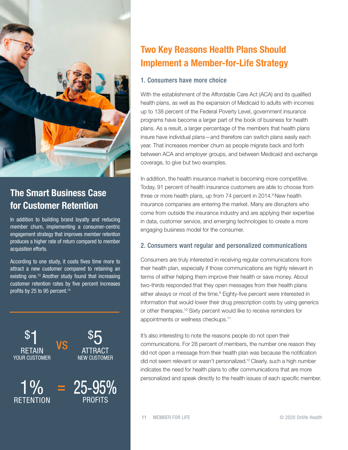

#### The Smart Business Case for Customer Retention

In addition to building brand loyalty and reducing member churn, implementing a consumer-centric engagement strategy that improves member retention produces a higher rate of return compared to member acquisition efforts.

According to one study, it costs fives time more to attract a new customer compared to retaining an existing one.<sup>13</sup> Another study found that increasing customer retention rates by five percent increases profits by 25 to 95 percent.<sup>14</sup>



### Two Key Reasons Health Plans Should Implement a Member-for-Life Strategy

#### 1. Consumers have more choice

With the establishment of the Affordable Care Act (ACA) and its qualified health plans, as well as the expansion of Medicaid to adults with incomes up to 138 percent of the Federal Poverty Level, government insurance programs have become a larger part of the book of business for health plans. As a result, a larger percentage of the members that health plans insure have individual plans—and therefore can switch plans easily each year. That increases member churn as people migrate back and forth between ACA and employer groups, and between Medicaid and exchange coverage, to give but two examples.

In addition, the health insurance market is becoming more competitive. Today, 91 percent of health insurance customers are able to choose from three or more health plans, up from 74 percent in 2014.<sup>8</sup> New health insurance companies are entering the market. Many are disrupters who come from outside the insurance industry and are applying their expertise in data, customer service, and emerging technologies to create a more engaging business model for the consumer.

#### 2. Consumers want regular and personalized communications

Consumers are truly interested in receiving regular communications from their health plan, especially if those communications are highly relevant in terms of either helping them improve their health or save money. About two-thirds responded that they open messages from their health plans either always or most of the time.<sup>9</sup> Eighty-five percent were interested in information that would lower their drug prescription costs by using generics or other therapies.10 Sixty percent would like to receive reminders for appointments or wellness checkups.11

It's also interesting to note the reasons people do not open their communications. For 28 percent of members, the number one reason they did not open a message from their health plan was because the notification did not seem relevant or wasn't personalized.12 Clearly, such a high number indicates the need for health plans to offer communications that are more personalized and speak directly to the health issues of each specific member.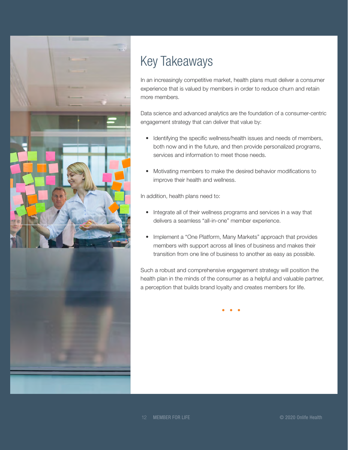

# Key Takeaways

In an increasingly competitive market, health plans must deliver a consumer experience that is valued by members in order to reduce churn and retain more members.

Data science and advanced analytics are the foundation of a consumer-centric engagement strategy that can deliver that value by:

- Identifying the specific wellness/health issues and needs of members, both now and in the future, and then provide personalized programs, services and information to meet those needs.
- Motivating members to make the desired behavior modifications to improve their health and wellness.

In addition, health plans need to:

- Integrate all of their wellness programs and services in a way that delivers a seamless "all-in-one" member experience.
- Implement a "One Platform, Many Markets" approach that provides members with support across all lines of business and makes their transition from one line of business to another as easy as possible.

Such a robust and comprehensive engagement strategy will position the health plan in the minds of the consumer as a helpful and valuable partner, a perception that builds brand loyalty and creates members for life.

12 MEMBER FOR LIFE © 2020 Onlife Health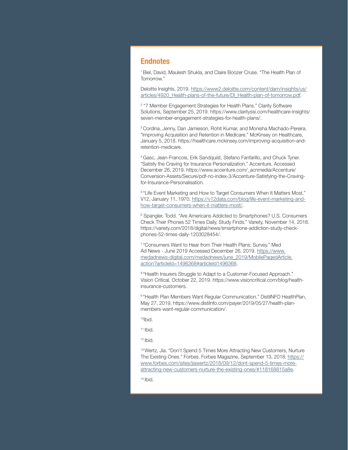#### **Endnotes**

1 Biel, David, Maulesh Shukla, and Claire Boozer Cruse. "The Health Plan of Tomorrow."

Deloitte Insights, 2019. [https://www2.deloitte.com/content/dam/insights/us/](https://www2.deloitte.com/content/dam/insights/us/articles/4920_Health-plans-of-the-future/DI_Health-plan-of-tomorrow.pdf) [articles/4920\\_Health-plans-of-the-future/DI\\_Health-plan-of-tomorrow.pdf.](https://www2.deloitte.com/content/dam/insights/us/articles/4920_Health-plans-of-the-future/DI_Health-plan-of-tomorrow.pdf)

2 "7 Member Engagement Strategies for Health Plans." Clarity Software Solutions, September 25, 2019. https://www.clarityssi.com/healthcare-insights/ seven-member-engagement-strategies-for-health-plans/.

3 Cordina, Jenny, Dan Jamieson, Rohit Kumar, and Monisha Machado-Pereira. "Improving Acquisition and Retention in Medicare." McKinsey on Healthcare, January 5, 2018. https://healthcare.mckinsey.com/improving-acquisition-andretention-medicare.

4 Gasc, Jean-Francois, Erik Sandquist, Stefano Fanfarillo, and Chuck Tyner. "Satisfy the Craving for Insurance Personalization." Accenture. Accessed December 26, 2019. https://www.accenture.com/\_acnmedia/Accenture/ Conversion-Assets/Secure/pdf-no-index-3/Accenture-Satisfying-the-Cravingfor-Insurance-Personalisation.

5 "Life Event Marketing and How to Target Consumers When It Matters Most." V12, January 11, 1970. [https://v12data.com/blog/life-event-marketing-and](https://v12data.com/blog/life-event-marketing-and-how-target-consumers-when-it-matters-most/)[how-target-consumers-when-it-matters-most/.](https://v12data.com/blog/life-event-marketing-and-how-target-consumers-when-it-matters-most/)

<sup>6</sup> Spangler, Todd. "Are Americans Addicted to Smartphones? U.S. Consumers Check Their Phones 52 Times Daily, Study Finds." Variety, November 14, 2018. https://variety.com/2018/digital/news/smartphone-addiction-study-checkphones-52-times-daily-1203028454/.

7 "Consumers Want to Hear from Their Health Plans: Survey." Med Ad News - June 2019 Accessed December 26, 2019. https://www. medadnews-digital.com/medadnews/june\_2019/MobilePagedArticle. action?articleId=1496368#articleId1496368.

<sup>8</sup> "Health Insurers Struggle to Adapt to a Customer-Focused Approach." Vision Critical, October 22, 2019. https://www.visioncritical.com/blog/healthinsurance-customers.

9 "Health Plan Members Want Regular Communication." DistilNFO HealthPlan, May 27, 2019. https://www.distilnfo.com/payer/2019/05/27/health-planmembers-want-regular-communication/.

10Ibid.

 $11$  Ibid.

 $12$  Ibid.

<sup>13</sup> Wertz, Jia. "Don't Spend 5 Times More Attracting New Customers, Nurture The Existing Ones." Forbes. Forbes Magazine, September 13, 2018. https:// www.forbes.com/sites/jiawertz/2018/09/12/dont-spend-5-times-moreattracting-new-customers-nurture-the-existing-ones/#118168815a8e.

14 Ibid.